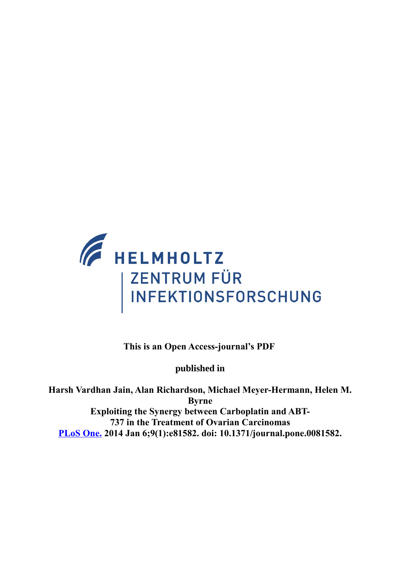

**This is an Open Access-journal's PDF** 

**published in**

<span id="page-0-0"></span>**Harsh Vardhan Jain, Alan Richardson, Michael Meyer-Hermann, Helen M. Byrne Exploiting the Synergy between Carboplatin and ABT-737 in the Treatment of Ovarian Carcinomas [PLoS One.](#page-0-0) 2014 Jan 6;9(1):e81582. doi: 10.1371/journal.pone.0081582.**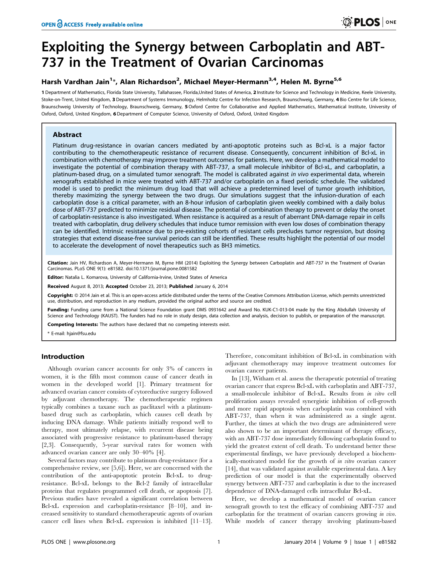# Exploiting the Synergy between Carboplatin and ABT-737 in the Treatment of Ovarian Carcinomas

# Harsh Vardhan Jain<sup>1</sup>\*, Alan Richardson<sup>2</sup>, Michael Meyer-Hermann<sup>3,4</sup>, Helen M. Byrne<sup>5,6</sup>

1 Department of Mathematics, Florida State University, Tallahassee, Florida,United States of America, 2 Institute for Science and Technology in Medicine, Keele University, Stoke-on-Trent, United Kingdom, 3 Department of Systems Immunology, Helmholtz Centre for Infection Research, Braunschweig, Germany, 4 Bio Centre for Life Science, Braunschweig University of Technology, Braunschweig, Germany, 5 Oxford Centre for Collaborative and Applied Mathematics, Mathematical Institute, University of Oxford, Oxford, United Kingdom, 6Department of Computer Science, University of Oxford, Oxford, United Kingdom

# Abstract

Platinum drug-resistance in ovarian cancers mediated by anti-apoptotic proteins such as Bcl-xL is a major factor contributing to the chemotherapeutic resistance of recurrent disease. Consequently, concurrent inhibition of Bcl-xL in combination with chemotherapy may improve treatment outcomes for patients. Here, we develop a mathematical model to investigate the potential of combination therapy with ABT-737, a small molecule inhibitor of Bcl-xL, and carboplatin, a platinum-based drug, on a simulated tumor xenograft. The model is calibrated against in vivo experimental data, wherein xenografts established in mice were treated with ABT-737 and/or carboplatin on a fixed periodic schedule. The validated model is used to predict the minimum drug load that will achieve a predetermined level of tumor growth inhibition, thereby maximizing the synergy between the two drugs. Our simulations suggest that the infusion-duration of each carboplatin dose is a critical parameter, with an 8-hour infusion of carboplatin given weekly combined with a daily bolus dose of ABT-737 predicted to minimize residual disease. The potential of combination therapy to prevent or delay the onset of carboplatin-resistance is also investigated. When resistance is acquired as a result of aberrant DNA-damage repair in cells treated with carboplatin, drug delivery schedules that induce tumor remission with even low doses of combination therapy can be identified. Intrinsic resistance due to pre-existing cohorts of resistant cells precludes tumor regression, but dosing strategies that extend disease-free survival periods can still be identified. These results highlight the potential of our model to accelerate the development of novel therapeutics such as BH3 mimetics.

Citation: Jain HV, Richardson A, Meyer-Hermann M, Byrne HM (2014) Exploiting the Synergy between Carboplatin and ABT-737 in the Treatment of Ovarian Carcinomas. PLoS ONE 9(1): e81582. doi:10.1371/journal.pone.0081582

Editor: Natalia L. Komarova, University of California-Irvine, United States of America

Received August 8, 2013; Accepted October 23, 2013; Published January 6, 2014

Copyright: © 2014 Jain et al. This is an open-access article distributed under the terms of the Creative Commons Attribution License, which permits unrestricted use, distribution, and reproduction in any medium, provided the original author and source are credited.

Funding: Funding came from a National Science Foundation grant DMS 0931642 and Award No. KUK-C1-013-04 made by the King Abdullah University of Science and Technology (KAUST). The funders had no role in study design, data collection and analysis, decision to publish, or preparation of the manuscript.

Competing Interests: The authors have declared that no competing interests exist.

\* E-mail: hjain@fsu.edu

# Introduction

Although ovarian cancer accounts for only 3% of cancers in women, it is the fifth most common cause of cancer death in women in the developed world [1]. Primary treatment for advanced ovarian cancer consists of cytoreductive surgery followed by adjuvant chemotherapy. The chemotherapeutic regimen typically combines a taxane such as paclitaxel with a platinumbased drug such as carboplatin, which causes cell death by inducing DNA damage. While patients initially respond well to therapy, most ultimately relapse, with recurrent disease being associated with progressive resistance to platinum-based therapy [2,3]. Consequently, 5-year survival rates for women with advanced ovarian cancer are only 30–40% [4].

Several factors may contribute to platinum drug-resistance (for a comprehensive review, see [5,6]). Here, we are concerned with the contribution of the anti-apoptotic protein Bcl-xL to drugresistance. Bcl-xL belongs to the Bcl-2 family of intracellular proteins that regulates programmed cell death, or apoptosis [7]. Previous studies have revealed a significant correlation between Bcl-xL expression and carboplatin-resistance [8–10], and increased sensitivity to standard chemotherapeutic agents of ovarian cancer cell lines when Bcl-xL expression is inhibited [11–13]. Therefore, concomitant inhibition of Bcl-xL in combination with adjuvant chemotherapy may improve treatment outcomes for ovarian cancer patients.

In [13], Witham et al. assess the therapeutic potential of treating ovarian cancer that express Bcl-xL with carboplatin and ABT-737, a small-molecule inhibitor of Bcl-xL. Results from in vitro cell proliferation assays revealed synergistic inhibition of cell-growth and more rapid apoptosis when carboplatin was combined with ABT-737, than when it was administered as a single agent. Further, the times at which the two drugs are administered were also shown to be an important determinant of therapy efficacy, with an ABT-737 dose immediately following carboplatin found to yield the greatest extent of cell death. To understand better these experimental findings, we have previously developed a biochemically-motivated model for the growth of in vitro ovarian cancer [14], that was validated against available experimental data. A key prediction of our model is that the experimentally observed synergy between ABT-737 and carboplatin is due to the increased dependence of DNA-damaged cells intracellular Bcl-xL.

Here, we develop a mathematical model of ovarian cancer xenograft growth to test the efficacy of combining ABT-737 and carboplatin for the treatment of ovarian cancers growing in vivo. While models of cancer therapy involving platinum-based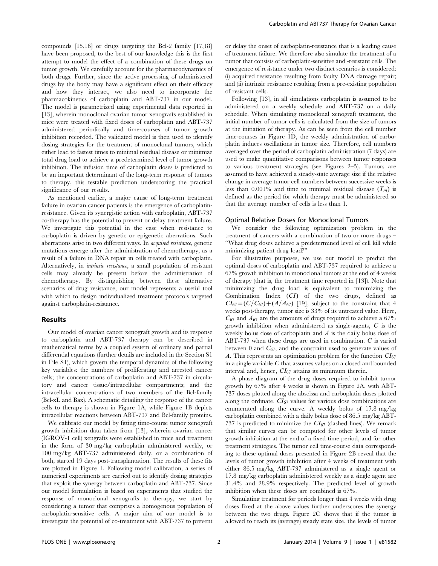compounds [15,16] or drugs targeting the Bcl-2 family [17,18] have been proposed, to the best of our knowledge this is the first attempt to model the effect of a combination of these drugs on tumor growth. We carefully account for the pharmacodynamics of both drugs. Further, since the active processing of administered drugs by the body may have a significant effect on their efficacy and how they interact, we also need to incorporate the pharmacokinetics of carboplatin and ABT-737 in our model. The model is parametrized using experimental data reported in [13], wherein monoclonal ovarian tumor xenografts established in mice were treated with fixed doses of carboplatin and ABT-737 administered periodically and time-courses of tumor growth inhibition recorded. The validated model is then used to identify dosing strategies for the treatment of monoclonal tumors, which either lead to fastest times to minimal residual disease or minimize total drug load to achieve a predetermined level of tumor growth inhibition. The infusion time of carboplatin doses is predicted to be an important determinant of the long-term response of tumors to therapy, this testable prediction underscoring the practical significance of our results.

As mentioned earlier, a major cause of long-term treatment failure in ovarian cancer patients is the emergence of carboplatinresistance. Given its synergistic action with carboplatin, ABT-737 co-therapy has the potential to prevent or delay treatment failure. We investigate this potential in the case when resistance to carboplatin is driven by genetic or epigenetic aberrations. Such aberrations arise in two different ways. In acquired resistance, genetic mutations emerge after the administration of chemotherapy, as a result of a failure in DNA repair in cells treated with carboplatin. Alternatively, in intrinsic resistance, a small population of resistant cells may already be present before the administration of chemotherapy. By distinguishing between these alternative scenarios of drug resistance, our model represents a useful tool with which to design individualized treatment protocols targeted against carboplatin-resistance.

## Results

Our model of ovarian cancer xenograft growth and its response to carboplatin and ABT-737 therapy can be described in mathematical terms by a coupled system of ordinary and partial differential equations (further details are included in the Section S1 in File S1), which govern the temporal dynamics of the following key variables: the numbers of proliferating and arrested cancer cells; the concentrations of carboplatin and ABT-737 in circulatory and cancer tissue/intracellular compartments; and the intracellular concentrations of two members of the Bcl-family (Bcl-xL and Bax). A schematic detailing the response of the cancer cells to therapy is shown in Figure 1A, while Figure 1B depicts intracellular reactions between ABT-737 and Bcl-family proteins.

We calibrate our model by fitting time-course tumor xenograft growth inhibition data taken from [13], wherein ovarian cancer (IGROV-1 cell) xengrafts were established in mice and treatment in the form of 30 mg/kg carboplatin administered weekly, or 100 mg/kg ABT-737 administered daily, or a combination of both, started 19 days post-transplantation. The results of these fits are plotted in Figure 1. Following model calibration, a series of numerical experiments are carried out to identify dosing strategies that exploit the synergy between carboplatin and ABT-737. Since our model formulation is based on experiments that studied the response of monoclonal xenografts to therapy, we start by considering a tumor that comprises a homogenous population of carboplatin-sensitive cells. A major aim of our model is to investigate the potential of co-treatment with ABT-737 to prevent or delay the onset of carboplatin-resistance that is a leading cause of treatment failure. We therefore also simulate the treatment of a tumor that consists of carboplatin-sensitive and -resistant cells. The emergence of resistance under two distinct scenarios is considered: (i) acquired resistance resulting from faulty DNA damage repair; and (ii) intrinsic resistance resulting from a pre-existing population of resistant cells.

Following [13], in all simulations carboplatin is assumed to be administered on a weekly schedule and ABT-737 on a daily schedule. When simulating monoclonal xenograft treatment, the initial number of tumor cells is calculated from the size of tumors at the initiation of therapy. As can be seen from the cell number time-courses in Figure 1D, the weekly administration of carboplatin induces oscillations in tumor size. Therefore, cell numbers averaged over the period of carboplatin administration (7 days) are used to make quantitative comparisons between tumor responses to various treatment strategies (see Figures 2–5). Tumors are assumed to have achieved a steady-state average size if the relative change in average tumor cell numbers between successive weeks is less than 0.001% and time to minimal residual disease  $(T_m)$  is defined as the period for which therapy must be administered so that the average number of cells is less than 1.

#### Optimal Relative Doses for Monoclonal Tumors

We consider the following optimization problem in the treatment of cancers with a combination of two or more drugs – ''What drug doses achieve a predetermined level of cell kill while minimizing patient drug load?''

For illustrative purposes, we use our model to predict the optimal doses of carboplatin and ABT-737 required to achieve a 67% growth inhibition in monoclonal tumors at the end of 4 weeks of therapy (that is, the treatment time reported in [13]). Note that minimizing the drug load is equivalent to minimizing the Combination Index (CI) of the two drugs, defined as  $CI_{67} = (C/C_{67}) + (A/A_{67})$  [19], subject to the constraint that 4 weeks post-therapy, tumor size is 33% of its untreated value. Here,  $C_{67}$  and  $A_{67}$  are the amounts of drugs required to achieve a 67% growth inhibition when administered as single-agents, C is the weekly bolus dose of carboplatin and  $A$  is the daily bolus dose of ABT-737 when these drugs are used in combination. C is varied between 0 and  $C_{67}$ , and the constraint used to generate values of A. This represents an optimization problem for the function  $CI_{67}$ in a single variable  $C$  that assumes values on a closed and bounded interval and, hence,  $CI_{67}$  attains its minimum therein.

A phase diagram of the drug doses required to inhibit tumor growth by 67% after 4 weeks is shown in Figure 2A, with ABT-737 doses plotted along the abscissa and carboplatin doses plotted along the ordinate.  $CI_{67}$  values for various dose combinations are enumerated along the curve. A weekly bolus of 17.8 mg/kg carboplatin combined with a daily bolus dose of 86.5 mg/kg ABT-737 is predicted to minimize the  $CI_{67}$  (dashed lines). We remark that similar curves can be computed for other levels of tumor growth inhibition at the end of a fixed time period, and for other treatment strategies. The tumor cell time-course data corresponding to these optimal doses presented in Figure 2B reveal that the levels of tumor growth inhibition after 4 weeks of treatment with either 86.5 mg/kg ABT-737 administered as a single agent or 17.8 mg/kg carboplatin administered weekly as a single agent are 31.4% and 28.9% respectively. The predicted level of growth inhibition when these doses are combined is 67%.

Simulating treatment for periods longer than 4 weeks with drug doses fixed at the above values further underscores the synergy between the two drugs. Figure 2C shows that if the tumor is allowed to reach its (average) steady state size, the levels of tumor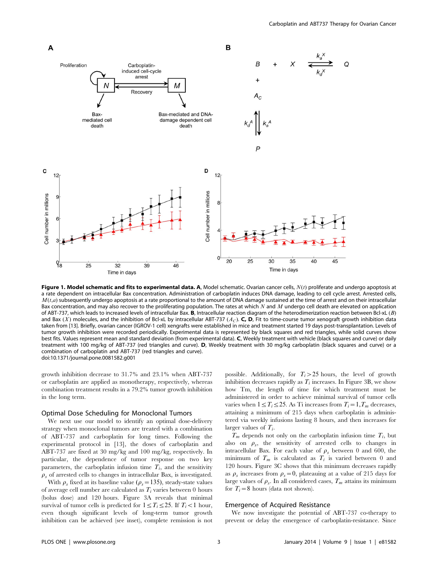

Figure 1. Model schematic and fits to experimental data. A, Model schematic. Ovarian cancer cells,  $N(t)$  proliferate and undergo apoptosis at a rate dependent on intracellular Bax concentration. Administration of carboplatin induces DNA damage, leading to cell cycle arrest. Arrested cells,  $M(t,a)$  subsequently undergo apoptosis at a rate proportional to the amount of DNA damage sustained at the time of arrest and on their intracellular Bax concentration, and may also recover to the proliferating population. The rates at which  $N$  and  $M$  undergo cell death are elevated on application of ABT-737, which leads to increased levels of intracellular Bax. B, Intracellular reaction diagram of the heterodimerization reaction between Bcl-xL (B) and Bax (X) molecules, and the inhibition of Bcl-xL by intracellular ABT-737 ( $A<sub>C</sub>$ ). C, D, Fit to time-course tumor xenograft growth inhibition data taken from [13]. Briefly, ovarian cancer (IGROV-1 cell) xengrafts were established in mice and treatment started 19 days post-transplantation. Levels of tumor growth inhibition were recorded periodically. Experimental data is represented by black squares and red triangles, while solid curves show best fits. Values represent mean and standard deviation (from experimental data). C, Weekly treatment with vehicle (black squares and curve) or daily treatment with 100 mg/kg of ABT-737 (red triangles and curve). D, Weekly treatment with 30 mg/kg carboplatin (black squares and curve) or a combination of carboplatin and ABT-737 (red triangles and curve). doi:10.1371/journal.pone.0081582.g001

growth inhibition decrease to 31.7% and 23.1% when ABT-737 or carboplatin are applied as monotherapy, respectively, whereas combination treatment results in a 79.2% tumor growth inhibition in the long term.

## Optimal Dose Scheduling for Monoclonal Tumors

We next use our model to identify an optimal dose-delivery strategy when monoclonal tumors are treated with a combination of ABT-737 and carboplatin for long times. Following the experimental protocol in [13], the doses of carboplatin and ABT-737 are fixed at 30 mg/kg and 100 mg/kg, respectively. In particular, the dependence of tumor response on two key parameters, the carboplatin infusion time  $T_i$ , and the sensitivity  $\rho_s$  of arrested cells to changes in intracellular Bax, is investigated.

With  $\rho_s$  fixed at its baseline value ( $\rho_s$  = 135), steady-state values of average cell number are calculated as  $T_i$  varies between 0 hours (bolus dose) and 120 hours. Figure 3A reveals that minimal survival of tumor cells is predicted for  $1 \le T_i \le 25$ . If  $T_i < 1$  hour, even though significant levels of long-term tumor growth inhibition can be achieved (see inset), complete remission is not

possible. Additionally, for  $T_i > 25$  hours, the level of growth inhibition decreases rapidly as  $T_i$  increases. In Figure 3B, we show how Tm, the length of time for which treatment must be administered in order to achieve minimal survival of tumor cells varies when  $1 \le T_i \le 25$ . As Ti increases from  $T_i=1,T_m$  decreases, attaining a minimum of 215 days when carboplatin is administered via weekly infusions lasting 8 hours, and then increases for larger values of  $T_i$ .

 $T_m$  depends not only on the carboplatin infusion time  $T_i$ , but also on  $\rho_s$ , the sensitivity of arrested cells to changes in intracellular Bax. For each value of  $\rho_s$  between 0 and 600, the minimum of  $T_m$  is calculated as  $T_i$  is varied between 0 and 120 hours. Figure 3C shows that this minimum decreases rapidly as  $\rho_s$  increases from  $\rho_s = 0$ , plateauing at a value of 215 days for large values of  $\rho_s$ . In all considered cases,  $T_m$  attains its minimum for  $T_i=8$  hours (data not shown).

#### Emergence of Acquired Resistance

We now investigate the potential of ABT-737 co-therapy to prevent or delay the emergence of carboplatin-resistance. Since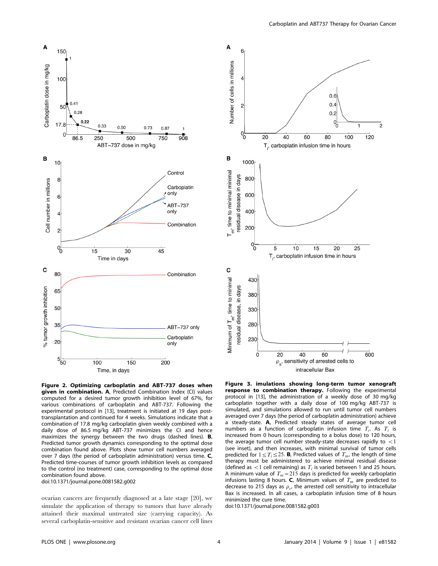



Figure 2. Optimizing carboplatin and ABT-737 doses when given in combination. A, Predicted Combination Index (CI) values computed for a desired tumor growth inhibition level of 67%, for various combinations of carboplatin and ABT-737. Following the experimental protocol in [13], treatment is initiated at 19 days posttransplantation and continued for 4 weeks. Simulations indicate that a combination of 17.8 mg/kg carboplatin given weekly combined with a daily dose of 86.5 mg/kg ABT-737 minimizes the CI and hence maximizes the synergy between the two drugs (dashed lines). **B**, Predicted tumor growth dynamics corresponding to the optimal dose combination found above. Plots show tumor cell numbers averaged over 7 days (the period of carboplatin administration) versus time. C, Predicted time-courses of tumor growth inhibition levels as compared to the control (no treatment) case, corresponding to the optimal dose combination found above.

doi:10.1371/journal.pone.0081582.g002

ovarian cancers are frequently diagnosed at a late stage [20], we simulate the application of therapy to tumors that have already attained their maximal untreated size (carrying capacity). As several carboplatin-sensitive and resistant ovarian cancer cell lines

response to combination therapy. Following the experimental protocol in [13], the administration of a weekly dose of 30 mg/kg carboplatin together with a daily dose of 100 mg/kg ABT-737 is simulated, and simulations allowed to run until tumor cell numbers averaged over 7 days (the period of carboplatin administration) achieve a steady-state. A, Predicted steady states of average tumor cell numbers as a function of carboplatin infusion time  $T_i$ . As  $T_i$  is increased from 0 hours (corresponding to a bolus dose) to 120 hours, the average tumor cell number steady-state decreases rapidly to  $<$  1 (see inset), and then increases, with minimal survival of tumor cells predicted for  $1 \le T_i \le 25$ . **B**, Predicted values of  $T_m$ , the length of time therapy must be administered to achieve minimal residual disease (defined as  $\langle 1 \rangle$  cell remaining) as  $T_i$  is varied between 1 and 25 hours. A minimum value of  $T_m$ =215 days is predicted for weekly carboplatin infusions lasting 8 hours. **C**, Minimum values of  $T_m$  are predicted to decrease to 215 days as  $\rho_{st}$ , the arrested cell sensitivity to intracellular Bax is increased. In all cases, a carboplatin infusion time of 8 hours minimized the cure time.

doi:10.1371/journal.pone.0081582.g003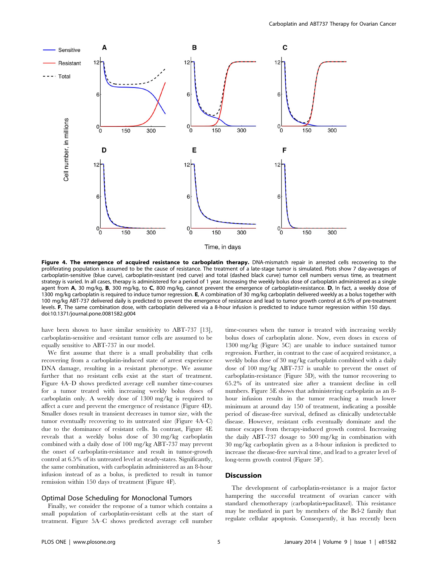

Figure 4. The emergence of acquired resistance to carboplatin therapy. DNA-mismatch repair in arrested cells recovering to the proliferating population is assumed to be the cause of resistance. The treatment of a late-stage tumor is simulated. Plots show 7 day-averages of carboplatin-sensitive (blue curve), carboplatin-resistant (red curve) and total (dashed black curve) tumor cell numbers versus time, as treatment strategy is varied. In all cases, therapy is administered for a period of 1 year. Increasing the weekly bolus dose of carboplatin administered as a single agent from A, 30 mg/kg, B, 300 mg/kg, to C, 800 mg/kg, cannot prevent the emergence of carboplatin-resistance. D, In fact, a weekly dose of 1300 mg/kg carboplatin is required to induce tumor regression. E, A combination of 30 mg/kg carboplatin delivered weekly as a bolus together with 100 mg/kg ABT-737 delivered daily is predicted to prevent the emergence of resistance and lead to tumor growth control at 6.5% of pre-treatment levels. F, The same combination dose, with carboplatin delivered via a 8-hour infusion is predicted to induce tumor regression within 150 days. doi:10.1371/journal.pone.0081582.g004

have been shown to have similar sensitivity to ABT-737 [13], carboplatin-sensitive and -resistant tumor cells are assumed to be equally sensitive to ABT-737 in our model.

We first assume that there is a small probability that cells recovering from a carboplatin-induced state of arrest experience DNA damage, resulting in a resistant phenotype. We assume further that no resistant cells exist at the start of treatment. Figure 4A–D shows predicted average cell number time-courses for a tumor treated with increasing weekly bolus doses of carboplatin only. A weekly dose of 1300 mg/kg is required to affect a cure and prevent the emergence of resistance (Figure 4D). Smaller doses result in transient decreases in tumor size, with the tumor eventually recovering to its untreated size (Figure 4A–C) due to the dominance of resistant cells. In contrast, Figure 4E reveals that a weekly bolus dose of 30 mg/kg carboplatin combined with a daily dose of 100 mg/kg ABT-737 may prevent the onset of carboplatin-resistance and result in tumor-growth control at 6.5% of its untreated level at steady-states. Significantly, the same combination, with carboplatin administered as an 8-hour infusion instead of as a bolus, is predicted to result in tumor remission within 150 days of treatment (Figure 4F).

#### Optimal Dose Scheduling for Monoclonal Tumors

Finally, we consider the response of a tumor which contains a small population of carboplatin-resistant cells at the start of treatment. Figure 5A–C shows predicted average cell number time-courses when the tumor is treated with increasing weekly bolus doses of carboplatin alone. Now, even doses in excess of 1300 mg/kg (Figure 5C) are unable to induce sustained tumor regression. Further, in contrast to the case of acquired resistance, a weekly bolus dose of 30 mg/kg carboplatin combined with a daily dose of 100 mg/kg ABT-737 is unable to prevent the onset of carboplatin-resistance (Figure 5D), with the tumor recovering to 65.2% of its untreated size after a transient decline in cell numbers. Figure 5E shows that administering carboplatin as an 8 hour infusion results in the tumor reaching a much lower minimum at around day 150 of treatment, indicating a possible period of disease-free survival, defined as clinically undetectable disease. However, resistant cells eventually dominate and the tumor escapes from therapy-induced growth control. Increasing the daily ABT-737 dosage to 500 mg/kg in combination with 30 mg/kg carboplatin given as a 8-hour infusion is predicted to increase the disease-free survival time, and lead to a greater level of long-term growth control (Figure 5F).

# **Discussion**

The development of carboplatin-resistance is a major factor hampering the successful treatment of ovarian cancer with standard chemotherapy (carboplatin+paclitaxel). This resistance may be mediated in part by members of the Bcl-2 family that regulate cellular apoptosis. Consequently, it has recently been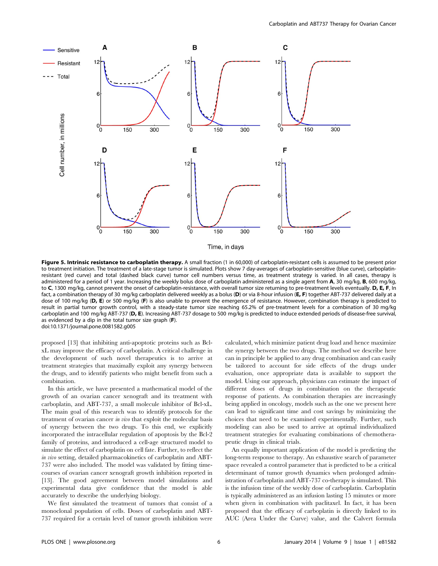

Time, in days

Figure 5. Intrinsic resistance to carboplatin therapy. A small fraction (1 in 60,000) of carboplatin-resistant cells is assumed to be present prior to treatment initiation. The treatment of a late-stage tumor is simulated. Plots show 7 day-averages of carboplatin-sensitive (blue curve), carboplatinresistant (red curve) and total (dashed black curve) tumor cell numbers versus time, as treatment strategy is varied. In all cases, therapy is administered for a period of 1 year. Increasing the weekly bolus dose of carboplatin administered as a single agent from A, 30 mg/kg, B, 600 mg/kg, to C, 1300 mg/kg, cannot prevent the onset of carboplatin-resistance, with overall tumor size returning to pre-treatment levels eventually. D, E, F, In fact, a combination therapy of 30 mg/kg carboplatin delivered weekly as a bolus (D) or via 8-hour infusion (E, F) together ABT-737 delivered daily at a dose of 100 mg/kg (D, E) or 500 mg/kg (F) is also unable to prevent the emergence of resistance. However, combination therapy is predicted to result in partial tumor growth control, with a steady-state tumor size reaching 65.2% of pre-treatment levels for a combination of 30 mg/kg carboplatin and 100 mg/kg ABT-737 (D, E). Increasing ABT-737 dosage to 500 mg/kg is predicted to induce extended periods of disease-free survival, as evidenced by a dip in the total tumor size graph (F). doi:10.1371/journal.pone.0081582.g005

proposed [13] that inhibiting anti-apoptotic proteins such as BclxL may improve the efficacy of carboplatin. A critical challenge in the development of such novel therapeutics is to arrive at treatment strategies that maximally exploit any synergy between the drugs, and to identify patients who might benefit from such a combination.

In this article, we have presented a mathematical model of the growth of an ovarian cancer xenograft and its treatment with carboplatin, and ABT-737, a small molecule inhibitor of Bcl-xL. The main goal of this research was to identify protocols for the treatment of ovarian cancer in vivo that exploit the molecular basis of synergy between the two drugs. To this end, we explicitly incorporated the intracellular regulation of apoptosis by the Bcl-2 family of proteins, and introduced a cell-age structured model to simulate the effect of carboplatin on cell fate. Further, to reflect the in vivo setting, detailed pharmacokinetics of carboplatin and ABT-737 were also included. The model was validated by fitting timecourses of ovarian cancer xenograft growth inhibition reported in [13]. The good agreement between model simulations and experimental data give confidence that the model is able accurately to describe the underlying biology.

We first simulated the treatment of tumors that consist of a monoclonal population of cells. Doses of carboplatin and ABT-737 required for a certain level of tumor growth inhibition were

calculated, which minimize patient drug load and hence maximize the synergy between the two drugs. The method we describe here can in principle be applied to any drug combination and can easily be tailored to account for side effects of the drugs under evaluation, once appropriate data is available to support the model. Using our approach, physicians can estimate the impact of different doses of drugs in combination on the therapeutic response of patients. As combination therapies are increasingly being applied in oncology, models such as the one we present here can lead to significant time and cost savings by minimizing the choices that need to be examined experimentally. Further, such modeling can also be used to arrive at optimal individualized treatment strategies for evaluating combinations of chemotherapeutic drugs in clinical trials.

An equally important application of the model is predicting the long-term response to therapy. An exhaustive search of parameter space revealed a control parameter that is predicted to be a critical determinant of tumor growth dynamics when prolonged administration of carboplatin and ABT-737 co-therapy is simulated. This is the infusion time of the weekly dose of carboplatin. Carboplatin is typically administered as an infusion lasting 15 minutes or more when given in combination with paclitaxel. In fact, it has been proposed that the efficacy of carboplatin is directly linked to its AUC (Area Under the Curve) value, and the Calvert formula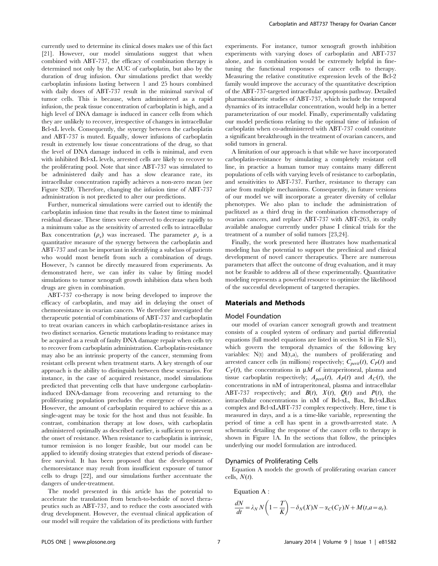currently used to determine its clinical doses makes use of this fact [21]. However, our model simulations suggest that when combined with ABT-737, the efficacy of combination therapy is determined not only by the AUC of carboplatin, but also by the duration of drug infusion. Our simulations predict that weekly carboplatin infusions lasting between 1 and 25 hours combined with daily doses of ABT-737 result in the minimal survival of tumor cells. This is because, when administered as a rapid infusion, the peak tissue concentration of carboplatin is high, and a high level of DNA damage is induced in cancer cells from which they are unlikely to recover, irrespective of changes in intracellular Bcl-xL levels. Consequently, the synergy between the carboplatin and ABT-737 is muted. Equally, slower infusions of carboplatin result in extremely low tissue concentrations of the drug, so that the level of DNA damage induced in cells is minimal, and even with inhibited Bcl-xL levels, arrested cells are likely to recover to the proliferating pool. Note that since ABT-737 was simulated to be administered daily and has a slow clearance rate, its intracellular concentration rapidly achieves a non-zero mean (see Figure S2D). Therefore, changing the infusion time of ABT-737 administration is not predicted to alter our predictions.

Further, numerical simulations were carried out to identify the carboplatin infusion time that results in the fastest time to minimal residual disease. These times were observed to decrease rapidly to a minimum value as the sensitivity of arrested cells to intracellular Bax concentration  $(\rho_s)$  was increased. The parameter  $\rho_s$  is a quantitative measure of the synergy between the carboplatin and ABT-737 and can be important in identifying a subclass of patients who would most benefit from such a combination of drugs. However, ?s cannot be directly measured from experiments. As demonstrated here, we can infer its value by fitting model simulations to tumor xenograft growth inhibition data when both drugs are given in combination.

ABT-737 co-therapy is now being developed to improve the efficacy of carboplatin, and may aid in delaying the onset of chemoresistance in ovarian cancers. We therefore investigated the therapeutic potential of combinations of ABT-737 and carboplatin to treat ovarian cancers in which carboplatin-resistance arises in two distinct scenarios. Genetic mutations leading to resistance may be acquired as a result of faulty DNA damage repair when cells try to recover from carboplatin administration. Carboplatin-resistance may also be an intrinsic property of the cancer, stemming from resistant cells present when treatment starts. A key strength of our approach is the ability to distinguish between these scenarios. For instance, in the case of acquired resistance, model simulations predicted that preventing cells that have undergone carboplatininduced DNA-damage from recovering and returning to the proliferating population precludes the emergence of resistance. However, the amount of carboplatin required to achieve this as a single-agent may be toxic for the host and thus not feasible. In contrast, combination therapy at low doses, with carboplatin administered optimally as described earlier, is sufficient to prevent the onset of resistance. When resistance to carboplatin is intrinsic, tumor remission is no longer feasible, but our model can be applied to identify dosing strategies that extend periods of diseasefree survival. It has been proposed that the development of chemoresistance may result from insufficient exposure of tumor cells to drugs [22], and our simulations further accentuate the dangers of under-treatment.

The model presented in this article has the potential to accelerate the translation from bench-to-bedside of novel therapeutics such as ABT-737, and to reduce the costs associated with drug development. However, the eventual clinical application of our model will require the validation of its predictions with further

experiments. For instance, tumor xenograft growth inhibition experiments with varying doses of carboplatin and ABT-737 alone, and in combination would be extremely helpful in finetuning the functional responses of cancer cells to therapy. Measuring the relative constitutive expression levels of the Bcl-2 family would improve the accuracy of the quantitative description of the ABT-737-targeted intracellular apoptosis pathway. Detailed pharmacokinetic studies of ABT-737, which include the temporal dynamics of its intracellular concentration, would help in a better parameterization of our model. Finally, experimentally validating our model predictions relating to the optimal time of infusion of carboplatin when co-administered with ABT-737 could constitute a significant breakthrough in the treatment of ovarian cancers, and solid tumors in general.

A limitation of our approach is that while we have incorporated carboplatin-resistance by simulating a completely resistant cell line, in practice a human tumor may contains many different populations of cells with varying levels of resistance to carboplatin, and sensitivities to ABT-737. Further, resistance to therapy can arise from multiple mechanisms. Consequently, in future versions of our model we will incorporate a greater diversity of cellular phenotypes. We also plan to include the administration of paclitaxel as a third drug in the combination chemotherapy of ovarian cancers, and replace ABT-737 with ABT-263, its orally available analogue currently under phase I clinical trials for the treatment of a number of solid tumors [23,24].

Finally, the work presented here illustrates how mathematical modeling has the potential to support the preclinical and clinical development of novel cancer therapeutics. There are numerous parameters that affect the outcome of drug evaluation, and it may not be feasible to address all of these experimentally. Quantitative modeling represents a powerful resource to optimize the likelihood of the successful development of targeted therapies.

## Materials and Methods

#### Model Foundation

our model of ovarian cancer xenograft growth and treatment consists of a coupled system of ordinary and partial differential equations (full model equations are listed in section S1 in File S1), which govern the temporal dynamics of the following key variables:  $N(t)$  and  $M(t,a)$ , the numbers of proliferating and arrested cancer cells (in millions) respectively;  $C_{\text{pert}}(t)$ ,  $C_P(t)$  and  $C_T(t)$ , the concentrations in  $\mu M$  of intraperitoneal, plasma and tissue carboplatin respectively;  $A_{\text{pert}}(t)$ ,  $A_{\text{P}}(t)$  and  $A_{\text{C}}(t)$ , the concentrations in nM of intraperitoneal, plasma and intracellular ABT-737 respectively; and  $B(t)$ ,  $X(t)$ ,  $Q(t)$  and  $P(t)$ , the intracellular concentrations in nM of Bcl-xL, Bax, Bcl-xLBax complex and Bcl-xLABT-737 complex respectively. Here, time t is measured in days, and a is a time-like variable, representing the period of time a cell has spent in a growth-arrested state. A schematic detailing the response of the cancer cells to therapy is shown in Figure 1A. In the sections that follow, the principles underlying our model formulation are introduced.

#### Dynamics of Proliferating Cells

Equation A models the growth of proliferating ovarian cancer cells,  $N(t)$ .

Equation A :  
\n
$$
\frac{dN}{dt} = \lambda_N N \left( 1 - \frac{T}{K} \right) - \delta_N(X)N - \alpha_C(C_T)N + M(t, a = a_r).
$$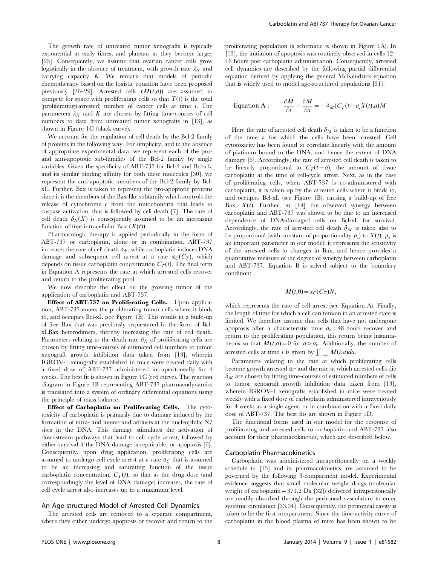The growth rate of untreated tumor xenografts is typically exponential at early times, and plateaus as they become larger [25]. Consequently, we assume that ovarian cancer cells grow logistically in the absence of treatment, with growth rate  $\lambda_N$  and carrying capacity  $K$ . We remark that models of periodic chemotherapy based on the logistic equation have been proposed previously [26–29]. Arrested cells  $(M(t,a))$  are assumed to compete for space with proliferating cells so that  $T(t)$  is the total (proliferating+arrested) number of cancer cells at time  $t$ . The parameters  $\lambda_N$  and K are chosen by fitting time-courses of cell numbers to data from untreated tumor xenografts in [13], as shown in Figure 1C (black curve).

We account for the regulation of cell death by the Bcl-2 family of proteins in the following way. For simplicity, and in the absence of appropriate experimental data, we represent each of the proand anti-apoptotic sub-families of the Bcl-2 family by single variables. Given the specificity of ABT-737 for Bcl-2 and Bcl-xL, and its similar binding affinity for both these molecules [30], we represent the anti-apoptotic members of the Bcl-2 family by BclxL. Further, Bax is taken to represent the pro-apoptotic proteins since it is the members of the Bax-like subfamily which controls the release of cytochrome c from the mitochondria that leads to caspase activation, that is followed by cell death [7]. The rate of cell death  $\delta_N(X)$  is consequently assumed to be an increasing function of free intracellular Bax  $(X(t))$ .

Pharmacologic therapy is applied periodically in the form of ABT-737 or carboplatin, alone or in combination. ABT-737 increases the rate of cell death  $\delta_N$ , while carboplatin induces DNA damage and subsequent cell arrest at a rate  $\alpha_C(C_T)$ , which depends on tissue carboplatin concentration  $C_T(t)$ . The final term in Equation A represents the rate at which arrested cells recover and return to the proliferating pool.

We now describe the effect on the growing tumor of the application of carboplatin and ABT-737.

Effect of ABT-737 on Proliferating Cells. Upon application, ABT-737 enters the proliferating tumor cells where it binds to, and occupies Bcl-xL (see Figure 1B). This results in a build-up of free Bax that was previously sequestered in the form of BclxLBax heterodimers, thereby increasing the rate of cell death. Parameters relating to the death rate  $\delta_N$  of proliferating cells are chosen by fitting time-courses of estimated cell numbers to tumor xenograft growth inhibition data taken from [13], wherein IGROV-1 xenografts established in mice were treated daily with a fixed dose of ABT-737 administered intraperitoneally for 4 weeks. The best fit is shown in Figure 1C (red curve). The reaction diagram in Figure 1B representing ABT-737 pharmacodynamics is translated into a system of ordinary differential equations using the principle of mass balance.

Effect of Carboplatin on Proliferating Cells. The cytotoxicity of carboplatin is primarily due to damage induced by the formation of intra- and interstrand adducts at the nucleophilic N7 sites in the DNA. This damage stimulates the activation of downstream pathways that lead to cell cycle arrest, followed by either survival if the DNA damage is repairable, or apoptosis [6]. Consequently, upon drug application, proliferating cells are assumed to undergo cell cycle arrest at a rate  $\alpha_C$  that is assumed to be an increasing and saturating function of the tissue carboplatin concentration,  $C_T(t)$ , so that as the drug dose (and correspondingly the level of DNA damage) increases, the rate of cell cycle arrest also increases up to a maximum level.

#### An Age-structured Model of Arrested Cell Dynamics

The arrested cells are removed to a separate compartment, where they either undergo apoptosis or recover and return to the proliferating population (a schematic is shown in Figure 1A). In [13], the initiation of apoptosis was routinely observed in cells 12– 16 hours post carboplatin administration. Consequently, arrested cell dynamics are described by the following partial differential equation derived by applying the general McKendrick equation that is widely used to model age-structured populations [31].

Equation A : 
$$
\frac{\partial M}{\partial t} + \frac{\partial M}{\partial a} = -\delta_M (C_T(t-a,X(t),a)M).
$$

Here the rate of arrested cell death  $\delta_M$  is taken to be a function of the time a for which the cells have been arrested. Cell cytotoxicity has been found to correlate linearly with the amount of platinum bound to the DNA, and hence the extent of DNA damage [6]. Accordingly, the rate of arrested cell death is taken to be linearly proportional to  $C_T(t-a)$ , the amount of tissue carboplatin at the time of cell-cycle arrest. Next, as in the case of proliferating cells, when ABT-737 is co-administered with carboplatin, it is taken up by the arrested cells where it binds to, and occupies Bcl-xL (see Figure 1B), causing a build-up of free Bax,  $X(t)$ . Further, in [14] the observed synergy between carboplatin and ABT-737 was shown to be due to an increased dependence of DNA-damaged cells on Bcl-xL for survival. Accordingly, the rate of arrested cell death  $\delta_M$  is taken also to be proportional (with constant of proportionality  $\rho_s$ ) to  $X(t)$ .  $\rho_s$  is an important parameter in our model: it represents the sensitivity of the arrested cells to changes in Bax, and hence provides a quantitative measure of the degree of synergy between carboplatin and ABT-737. Equation B is solved subject to the boundary condition:

$$
M(t,0) = \alpha_C(C_T)N,
$$

which represents the rate of cell arrest (see Equation A). Finally, the length of time for which a cell can remain in an arrested state is limited. We therefore assume that cells that have not undergone apoptosis after a characteristic time  $a_r = 48$  hours recover and return to the proliferating population, this return being instantaneous so that  $M(t,a) = 0$  for  $a > a_r$ . Additionally, the number of arrested cells at time t is given by  $\int_{t-ar}^{t} M(t,a)da$ .

Parameters relating to the rate at which proliferating cells become growth arrested  $\alpha_C$  and the rate at which arrested cells die  $\delta_M$  are chosen by fitting time-courses of estimated numbers of cells to tumor xenograft growth inhibition data taken from [13], wherein IGROV-1 xenografts established in mice were treated weekly with a fixed dose of carboplatin administered intravenously for 4 weeks as a single agent, or in combination with a fixed daily dose of ABT-737. The best fits are shown in Figure 1D.

The functional forms used in our model for the response of proliferating and arrested cells to carboplatin and ABT-737 also account for their pharmacokinetics, which are described below.

# Carboplatin Pharmacokinetics

Carboplatin was administered intraperitoneally on a weekly schedule in [13] and its pharmacokinetics are assumed to be governed by the following 3-comparment model. Experimental evidence suggests that small molecular weight drugs (molecular weight of carboplatin = 371.2 Da [32]) delivered intraperitoneally are readily absorbed through the peritoneal vasculature to enter systemic circulation [33,34]. Consequently, the peritoneal cavity is taken to be the first compartment. Since the time-activity curve of carboplatin in the blood plasma of mice has been shown to be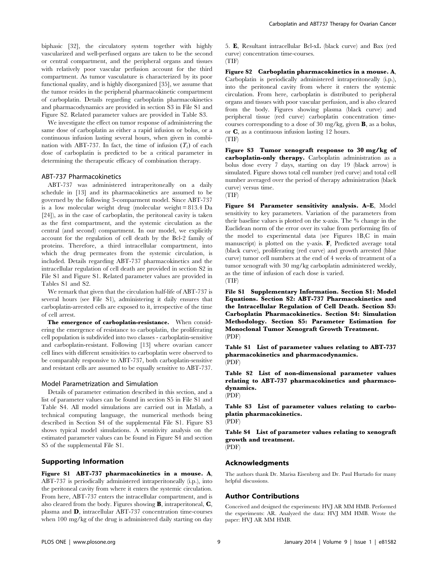biphasic [32], the circulatory system together with highly vascularized and well-perfused organs are taken to be the second or central compartment, and the peripheral organs and tissues with relatively poor vascular perfusion account for the third compartment. As tumor vasculature is characterized by its poor functional quality, and is highly disorganized [35], we assume that the tumor resides in the peripheral pharmacokinetic compartment of carboplatin. Details regarding carboplatin pharmacokinetics and pharmacodynamics are provided in section S3 in File S1 and Figure S2. Related parameter values are provided in Table S3.

We investigate the effect on tumor response of administering the same dose of carboplatin as either a rapid infusion or bolus, or a continuous infusion lasting several hours, when given in combination with ABT-737. In fact, the time of infusion  $(T_i)$  of each dose of carboplatin is predicted to be a critical parameter in determining the therapeutic efficacy of combination therapy.

#### ABT-737 Pharmacokinetics

ABT-737 was administered intraperitoneally on a daily schedule in [13] and its pharmacokinetics are assumed to be governed by the following 3-comparment model. Since ABT-737 is a low molecular weight drug (molecular weight = 813.4 Da [24]), as in the case of carboplatin, the peritoneal cavity is taken as the first compartment, and the systemic circulation as the central (and second) compartment. In our model, we explicitly account for the regulation of cell death by the Bcl-2 family of proteins. Therefore, a third intracellular compartment, into which the drug permeates from the systemic circulation, is included. Details regarding ABT-737 pharmacokinetics and the intracellular regulation of cell death are provided in section S2 in File S1 and Figure S1. Related parameter values are provided in Tables S1 and S2.

We remark that given that the circulation half-life of ABT-737 is several hours (see File S1), administering it daily ensures that carboplatin-arrested cells are exposed to it, irrespective of the time of cell arrest.

The emergence of carboplatin-resistance. When considering the emergence of resistance to carboplatin, the proliferating cell population is subdivided into two classes - carboplatin-sensitive and carboplatin-resistant. Following [13] where ovarian cancer cell lines with different sensitivities to carboplatin were observed to be comparably responsive to ABT-737, both carboplatin-sensitive and resistant cells are assumed to be equally sensitive to ABT-737.

#### Model Parametrization and Simulation

Details of parameter estimation described in this section, and a list of parameter values can be found in section S5 in File S1 and Table S4. All model simulations are carried out in Matlab, a technical computing language, the numerical methods being described in Section S4 of the supplemental File S1. Figure S3 shows typical model simulations. A sensitivity analysis on the estimated parameter values can be found in Figure S4 and section S5 of the supplemental File S1.

# Supporting Information

Figure S1 ABT-737 pharmacokinetics in a mouse. A, ABT-737 is periodically administered intraperitoneally (i.p.), into the peritoneal cavity from where it enters the systemic circulation. From here, ABT-737 enters the intracellular compartment, and is also cleared from the body. Figures showing B, intraperitoneal, C, plasma and D, intracellular ABT-737 concentration time-courses when 100 mg/kg of the drug is administered daily starting on day 5. E, Resultant intracellular Bcl-xL (black curve) and Bax (red curve) concentration time-courses. (TIF)

Figure S2 Carboplatin pharmacokinetics in a mouse. A, Carboplatin is periodically administered intraperitoneally (i.p.), into the peritoneal cavity from where it enters the systemic circulation. From here, carboplatin is distributed to peripheral organs and tissues with poor vascular perfusion, and is also cleared from the body. Figures showing plasma (black curve) and peripheral tissue (red curve) carboplatin concentration timecourses corresponding to a dose of 30 mg/kg, given B, as a bolus, or C, as a continuous infusion lasting 12 hours. (TIF)

Figure S3 Tumor xenograft response to 30 mg/kg of carboplatin-only therapy. Carboplatin administration as a bolus dose every 7 days, starting on day 19 (black arrow) is simulated. Figure shows total cell number (red curve) and total cell number averaged over the period of therapy administration (black curve) versus time.



Figure S4 Parameter sensitivity analysis. A–E, Model sensitivity to key parameters. Variation of the parameters from their baseline values is plotted on the x-axis. The % change in the Euclidean norm of the error over its value from performing fits of the model to experimental data (see Figures 1B,C in main manuscript) is plotted on the y-axis. F, Predicted average total (black curve), proliferating (red curve) and growth arrested (blue curve) tumor cell numbers at the end of 4 weeks of treatment of a tumor xenograft with 30 mg/kg carboplatin administered weekly, as the time of infusion of each dose is varied.

(TIF)

File S1 Supplementary Information. Section S1: Model Equations. Section S2: ABT-737 Pharmacokinetics and the Intracellular Regulation of Cell Death. Section S3: Carboplatin Pharmacokinetics. Section S4: Simulation Methodology. Section S5: Parameter Estimation for Monoclonal Tumor Xenograft Growth Treatment. (PDF)

Table S1 List of parameter values relating to ABT-737 pharmacokinetics and pharmacodynamics. (PDF)

Table S2 List of non-dimensional parameter values relating to ABT-737 pharmacokinetics and pharmacodynamics.

(PDF)

Table S3 List of parameter values relating to carboplatin pharmacokinetics.

(PDF)

Table S4 List of parameter values relating to xenograft growth and treatment. (PDF)

#### Acknowledgments

The authors thank Dr. Marisa Eisenberg and Dr. Paul Hurtado for many helpful discussions.

# Author Contributions

Conceived and designed the experiments: HVJ AR MM HMB. Performed the experiments: AR. Analyzed the data: HVJ MM HMB. Wrote the paper: HVJ AR MM HMB.